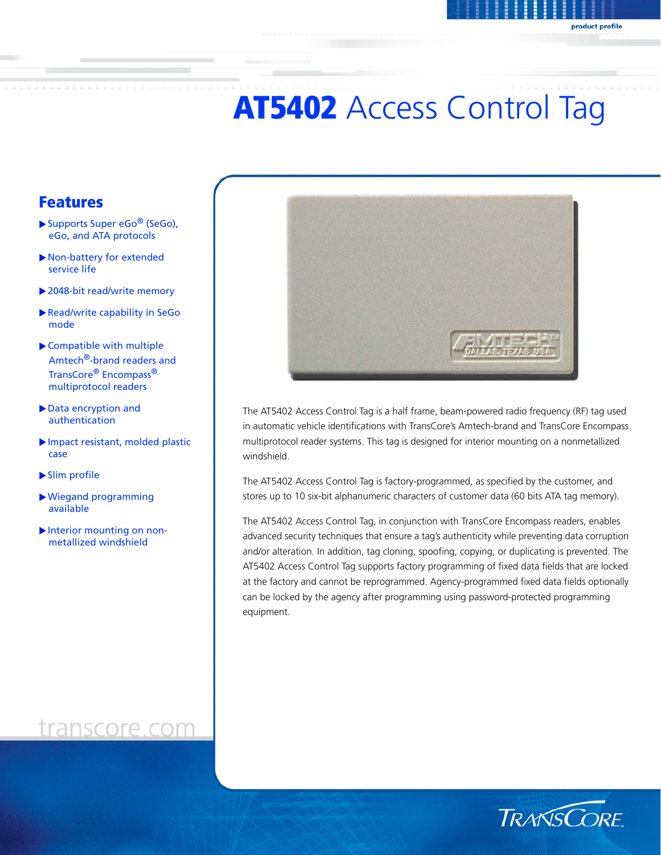# **AT5402 Access Control Tag**

### Features

- $\blacktriangleright$  Supports Super eGo<sup>®</sup> (SeGo), eGo, and ATA protocols
- $\blacktriangleright$  Non-battery for extended service life
- $\blacktriangleright$  2048-bit read/write memory
- Read/write capability in SeGo mode
- $\blacktriangleright$  Compatible with multiple Amtech<sup>®</sup>-brand readers and TransCore® Encompass® multiprotocol readers
- Data encryption and authentication
- $\blacktriangleright$  Impact resistant, molded plastic case
- $\blacktriangleright$  Slim profile
- $\blacktriangleright$  Wiegand programming available
- $\blacktriangleright$  Interior mounting on nonmetallized windshield



The AT5402 Access Control Tag is a half frame, beam-powered radio frequency (RF) tag used in automatic vehicle identifications with TransCore's Amtech-brand and TransCore Encompass multiprotocol reader systems. This tag is designed for interior mounting on a nonmetallized windshield.

The AT5402 Access Control Tag is factory-programmed, as specified by the customer, and stores up to 10 six-bit alphanumeric characters of customer data (60 bits ATA tag memory).

The AT5402 Access Control Tag, in conjunction with TransCore Encompass readers, enables advanced security techniques that ensure a tag's authenticity while preventing data corruption and/or alteration. In addition, tag cloning, spoofing, copying, or duplicating is prevented. The AT5402 Access Control Tag supports factory programming of fixed data fields that are locked at the factory and cannot be reprogrammed. Agency-programmed fixed data fields optionally can be locked by the agency after programming using password-protected programming equipment.



### transcore.com